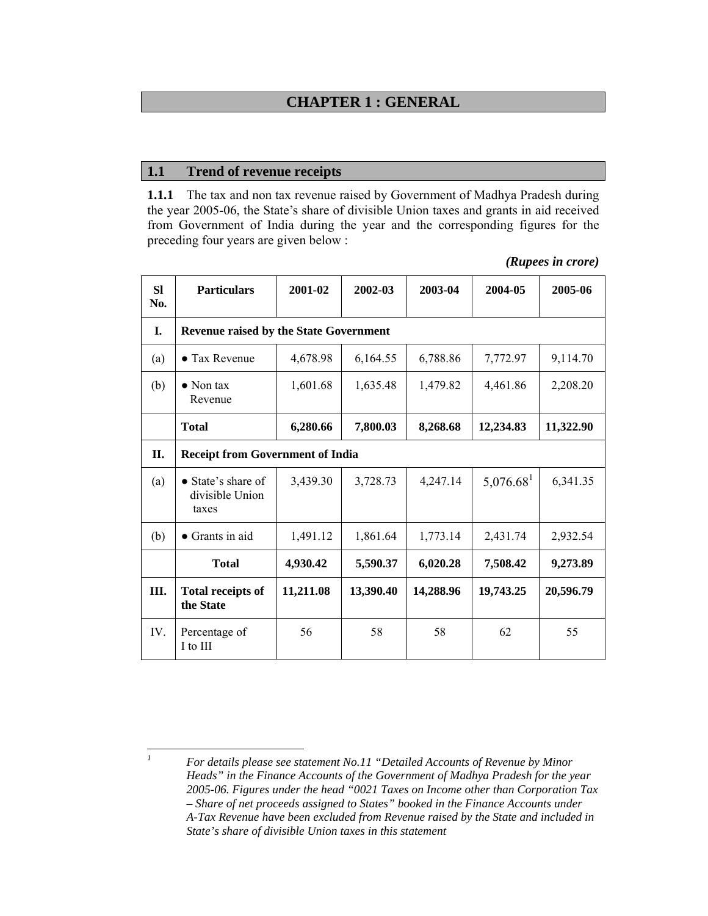# **CHAPTER 1 : GENERAL**

#### **1.1 Trend of revenue receipts**

**1.1.1** The tax and non tax revenue raised by Government of Madhya Pradesh during the year 2005-06, the State's share of divisible Union taxes and grants in aid received from Government of India during the year and the corresponding figures for the preceding four years are given below :

*(Rupees in crore)* 

**Sl No. Particulars 2001-02 2002-03 2003-04 2004-05 2005-06 I. Revenue raised by the State Government**  (a)  $\bullet$  Tax Revenue  $\left( \begin{array}{c|c} 4,678.98 & 6,164.55 & 6,788.86 \\ 7,7772.97 & 9,114.70 \end{array} \right)$ (b)  $\bullet$  Non tax Revenue 1,601.68 1,635.48 1,479.82 4,461.86 2,208.20  **Total 6,280.66 7,800.03 8,268.68 12,234.83 11,322.90 II. Receipt from Government of India**  (a)  $\bullet$  State's share of divisible Union taxes  $3,439.30$  |  $3,728.73$  |  $4,247.14$  |  $5,076.68$ <sup>1</sup> |  $6,341.35$ (b)  $\bullet$  Grants in aid 1,491.12 1,861.64 1,773.14 2,431.74 2,932.54  **Total 4,930.42 5,590.37 6,020.28 7,508.42 9,273.89 III. Total receipts of the State 11,211.08 13,390.40 14,288.96 19,743.25 20,596.79**  IV. Percentage of I to III 56 | 58 | 58 | 62 | 55

 *1 For details please see statement No.11 "Detailed Accounts of Revenue by Minor Heads" in the Finance Accounts of the Government of Madhya Pradesh for the year 2005-06. Figures under the head "0021 Taxes on Income other than Corporation Tax – Share of net proceeds assigned to States" booked in the Finance Accounts under A-Tax Revenue have been excluded from Revenue raised by the State and included in State's share of divisible Union taxes in this statement*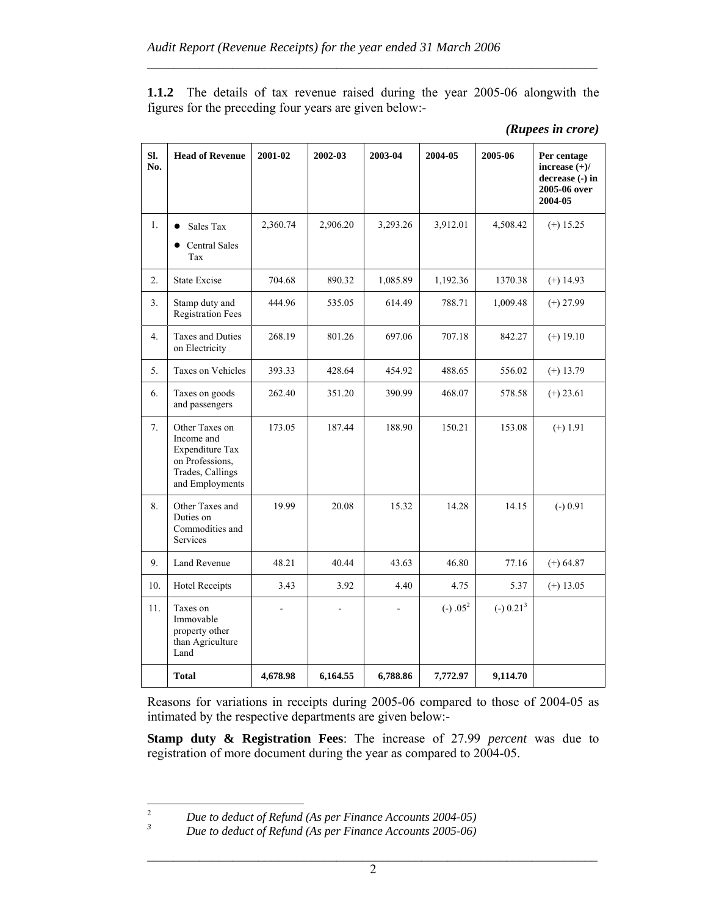**1.1.2** The details of tax revenue raised during the year 2005-06 alongwith the figures for the preceding four years are given below:-

 $\mathcal{L}_\text{max} = \frac{1}{2} \sum_{i=1}^n \mathcal{L}_\text{max}(\mathbf{x}_i - \mathbf{y}_i)$ 

| SI.<br>No. | <b>Head of Revenue</b>                                                                                    | 2001-02  | 2002-03  | 2003-04  | 2004-05    | 2005-06     | Per centage<br>increase $(+)/$<br>decrease (-) in<br>2005-06 over<br>2004-05 |
|------------|-----------------------------------------------------------------------------------------------------------|----------|----------|----------|------------|-------------|------------------------------------------------------------------------------|
| 1.         | Sales Tax<br><b>Central Sales</b><br>Tax                                                                  | 2,360.74 | 2,906.20 | 3,293.26 | 3,912.01   | 4,508.42    | $(+)$ 15.25                                                                  |
| 2.         | <b>State Excise</b>                                                                                       | 704.68   | 890.32   | 1,085.89 | 1,192.36   | 1370.38     | $(+)$ 14.93                                                                  |
| 3.         | Stamp duty and<br><b>Registration Fees</b>                                                                | 444.96   | 535.05   | 614.49   | 788.71     | 1,009.48    | $(+) 27.99$                                                                  |
| 4.         | Taxes and Duties<br>on Electricity                                                                        | 268.19   | 801.26   | 697.06   | 707.18     | 842.27      | $(+) 19.10$                                                                  |
| 5.         | Taxes on Vehicles                                                                                         | 393.33   | 428.64   | 454.92   | 488.65     | 556.02      | $(+)$ 13.79                                                                  |
| 6.         | Taxes on goods<br>and passengers                                                                          | 262.40   | 351.20   | 390.99   | 468.07     | 578.58      | $(+) 23.61$                                                                  |
| 7.         | Other Taxes on<br>Income and<br>Expenditure Tax<br>on Professions,<br>Trades, Callings<br>and Employments | 173.05   | 187.44   | 188.90   | 150.21     | 153.08      | $(+) 1.91$                                                                   |
| 8.         | Other Taxes and<br>Duties on<br>Commodities and<br><b>Services</b>                                        | 19.99    | 20.08    | 15.32    | 14.28      | 14.15       | $(-) 0.91$                                                                   |
| 9.         | <b>Land Revenue</b>                                                                                       | 48.21    | 40.44    | 43.63    | 46.80      | 77.16       | $(+) 64.87$                                                                  |
| 10.        | <b>Hotel Receipts</b>                                                                                     | 3.43     | 3.92     | 4.40     | 4.75       | 5.37        | $(+)$ 13.05                                                                  |
| 11.        | Taxes on<br>Immovable<br>property other<br>than Agriculture<br>Land                                       |          |          |          | $(-) .052$ | $(-) 0.213$ |                                                                              |
|            | <b>Total</b>                                                                                              | 4,678.98 | 6,164.55 | 6,788.86 | 7,772.97   | 9,114.70    |                                                                              |

| (Rupees in crore) |  |
|-------------------|--|

Reasons for variations in receipts during 2005-06 compared to those of 2004-05 as intimated by the respective departments are given below:-

**Stamp duty & Registration Fees**: The increase of 27.99 *percent* was due to registration of more document during the year as compared to 2004-05.

 $\frac{1}{2}$  *Due to deduct of Refund (As per Finance Accounts 2004-05) 3*

*Due to deduct of Refund (As per Finance Accounts 2005-06)*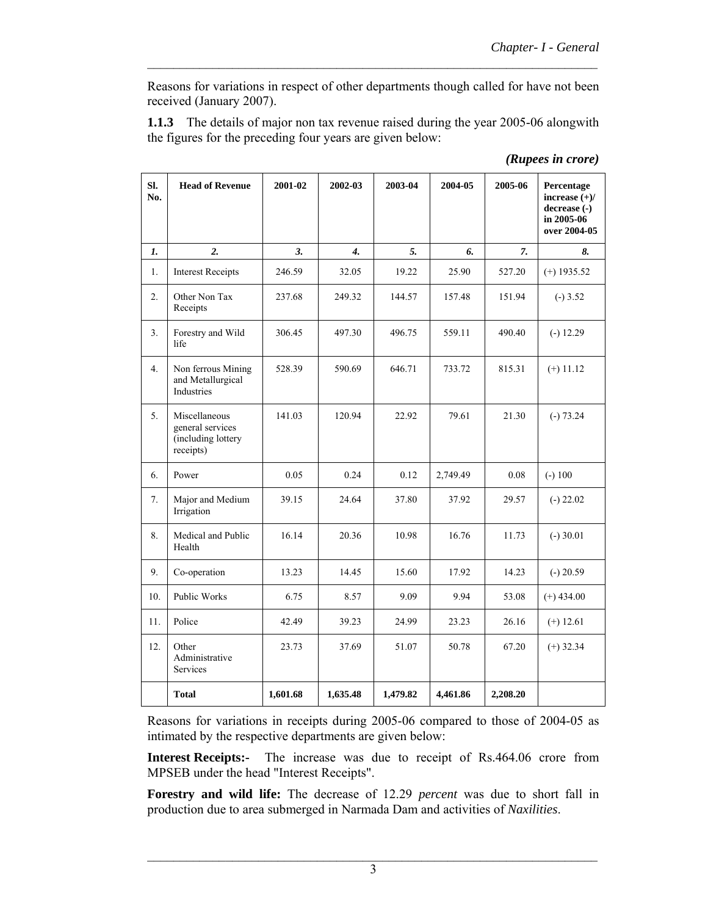Reasons for variations in respect of other departments though called for have not been received (January 2007).

 $\mathcal{L}_\text{max} = \frac{1}{2} \sum_{i=1}^n \mathcal{L}_\text{max}(\mathbf{x}_i - \mathbf{y}_i)$ 

**1.1.3** The details of major non tax revenue raised during the year 2005-06 alongwith the figures for the preceding four years are given below:

| SI.<br>No.       | <b>Head of Revenue</b>                                               | 2001-02  | 2002-03                    | 2003-04  | 2004-05  | 2005-06  | Percentage<br>increase $(+)/$<br>decrease (-)<br>in 2005-06<br>over 2004-05 |
|------------------|----------------------------------------------------------------------|----------|----------------------------|----------|----------|----------|-----------------------------------------------------------------------------|
| 1.               | 2.                                                                   | 3.       | $\boldsymbol{\mathcal{A}}$ | 5.       | 6.       | 7.       | 8.                                                                          |
| 1.               | <b>Interest Receipts</b>                                             | 246.59   | 32.05                      | 19.22    | 25.90    | 527.20   | $(+)$ 1935.52                                                               |
| 2.               | Other Non Tax<br>Receipts                                            | 237.68   | 249.32                     | 144.57   | 157.48   | 151.94   | $(-)3.52$                                                                   |
| 3.               | Forestry and Wild<br>life                                            | 306.45   | 497.30                     | 496.75   | 559.11   | 490.40   | $(-) 12.29$                                                                 |
| $\overline{4}$ . | Non ferrous Mining<br>and Metallurgical<br>Industries                | 528.39   | 590.69                     | 646.71   | 733.72   | 815.31   | $(+)$ 11.12                                                                 |
| 5.               | Miscellaneous<br>general services<br>(including lottery<br>receipts) | 141.03   | 120.94                     | 22.92    | 79.61    | 21.30    | $(-) 73.24$                                                                 |
| 6.               | Power                                                                | 0.05     | 0.24                       | 0.12     | 2,749.49 | 0.08     | $(-) 100$                                                                   |
| 7.               | Major and Medium<br>Irrigation                                       | 39.15    | 24.64                      | 37.80    | 37.92    | 29.57    | $(-) 22.02$                                                                 |
| 8.               | Medical and Public<br>Health                                         | 16.14    | 20.36                      | 10.98    | 16.76    | 11.73    | $(-)$ 30.01                                                                 |
| 9.               | Co-operation                                                         | 13.23    | 14.45                      | 15.60    | 17.92    | 14.23    | $(-) 20.59$                                                                 |
| 10.              | Public Works                                                         | 6.75     | 8.57                       | 9.09     | 9.94     | 53.08    | $(+)$ 434.00                                                                |
| 11.              | Police                                                               | 42.49    | 39.23                      | 24.99    | 23.23    | 26.16    | $(+)$ 12.61                                                                 |
| 12.              | Other<br>Administrative<br>Services                                  | 23.73    | 37.69                      | 51.07    | 50.78    | 67.20    | $(+)$ 32.34                                                                 |
|                  | <b>Total</b>                                                         | 1,601.68 | 1,635.48                   | 1,479.82 | 4,461.86 | 2,208.20 |                                                                             |

*(Rupees in crore)* 

Reasons for variations in receipts during 2005-06 compared to those of 2004-05 as intimated by the respective departments are given below:

**Interest Receipts:-** The increase was due to receipt of Rs.464.06 crore from MPSEB under the head "Interest Receipts".

**Forestry and wild life:** The decrease of 12.29 *percent* was due to short fall in production due to area submerged in Narmada Dam and activities of *Naxilities*.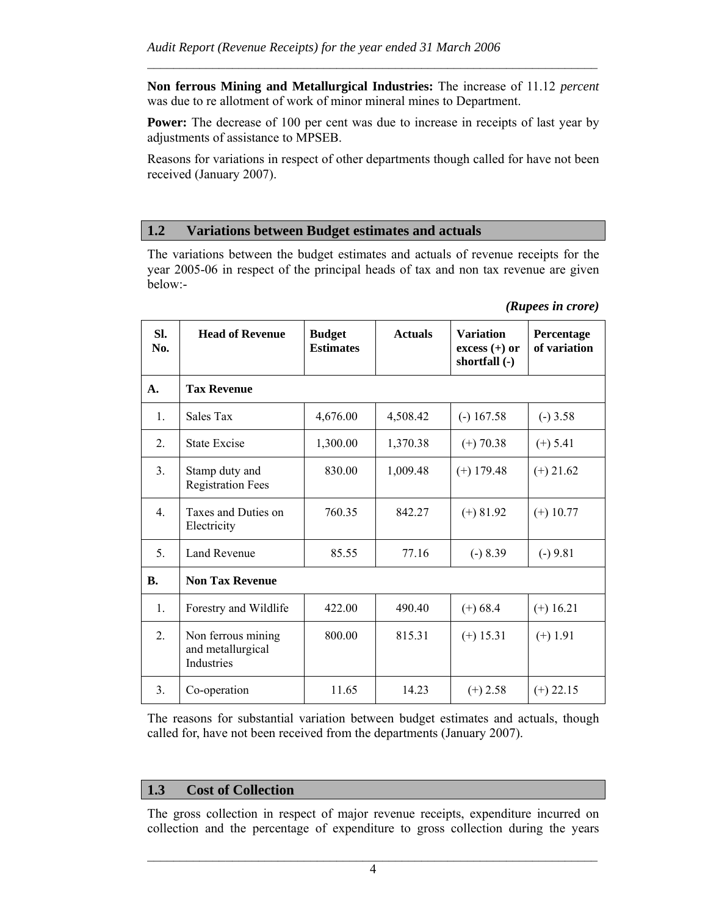**Non ferrous Mining and Metallurgical Industries:** The increase of 11.12 *percent* was due to re allotment of work of minor mineral mines to Department.

 $\mathcal{L}_\text{max} = \frac{1}{2} \sum_{i=1}^n \mathcal{L}_\text{max}(\mathbf{x}_i - \mathbf{y}_i)$ 

**Power:** The decrease of 100 per cent was due to increase in receipts of last year by adjustments of assistance to MPSEB.

Reasons for variations in respect of other departments though called for have not been received (January 2007).

## **1.2 Variations between Budget estimates and actuals**

The variations between the budget estimates and actuals of revenue receipts for the year 2005-06 in respect of the principal heads of tax and non tax revenue are given below:-

| Sl.<br>No.       | <b>Head of Revenue</b>                                | <b>Budget</b><br><b>Estimates</b> | <b>Actuals</b> | <b>Variation</b><br>$excess (+)$ or<br>shortfall (-) | Percentage<br>of variation |  |  |  |  |
|------------------|-------------------------------------------------------|-----------------------------------|----------------|------------------------------------------------------|----------------------------|--|--|--|--|
| A.               | <b>Tax Revenue</b>                                    |                                   |                |                                                      |                            |  |  |  |  |
| $\mathbf{1}$ .   | Sales Tax                                             | 4,676.00                          | 4,508.42       | $(-) 167.58$                                         | $(-)$ 3.58                 |  |  |  |  |
| 2.               | <b>State Excise</b>                                   | 1,300.00                          | 1,370.38       | $(+)$ 70.38                                          | $(+) 5.41$                 |  |  |  |  |
| 3 <sub>1</sub>   | Stamp duty and<br><b>Registration Fees</b>            | 830.00                            | 1,009.48       | $(+)$ 179.48                                         | $(+)$ 21.62                |  |  |  |  |
| $\overline{4}$ . | Taxes and Duties on<br>Electricity                    | 760.35                            | 842.27         | $(+) 81.92$                                          | $(+)$ 10.77                |  |  |  |  |
| $\mathcal{F}$    | Land Revenue                                          | 85.55                             | 77.16          | $(-) 8.39$                                           | $(-) 9.81$                 |  |  |  |  |
| <b>B.</b>        | <b>Non Tax Revenue</b>                                |                                   |                |                                                      |                            |  |  |  |  |
| 1.               | Forestry and Wildlife                                 | 422.00                            | 490.40         | $(+) 68.4$                                           | $(+) 16.21$                |  |  |  |  |
| 2.               | Non ferrous mining<br>and metallurgical<br>Industries | 800.00                            | 815.31         | $(+)$ 15.31                                          | $(+)$ 1.91                 |  |  |  |  |
| 3 <sub>1</sub>   | Co-operation                                          | 11.65                             | 14.23          | $(+)$ 2.58                                           | $(+)$ 22.15                |  |  |  |  |

#### *(Rupees in crore)*

The reasons for substantial variation between budget estimates and actuals, though called for, have not been received from the departments (January 2007).

## **1.3 Cost of Collection**

The gross collection in respect of major revenue receipts, expenditure incurred on collection and the percentage of expenditure to gross collection during the years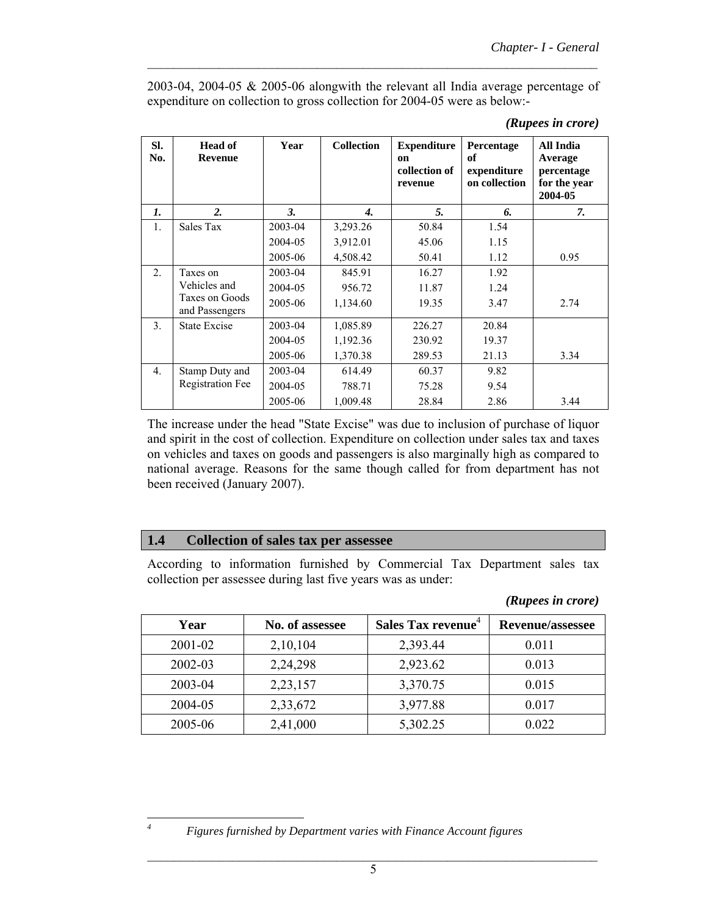2003-04, 2004-05 & 2005-06 alongwith the relevant all India average percentage of expenditure on collection to gross collection for 2004-05 were as below:-

 $\mathcal{L}_\text{max} = \frac{1}{2} \sum_{i=1}^n \mathcal{L}_\text{max}(\mathbf{x}_i - \mathbf{y}_i)$ 

|  | (Rupees in crore) |
|--|-------------------|
|  |                   |

| SI.<br>No.     | <b>Head of</b><br><b>Revenue</b> | Year    | <b>Collection</b> | <b>Expenditure</b><br>on<br>collection of<br>revenue | Percentage<br>of<br>expenditure<br>on collection | All India<br>Average<br>percentage<br>for the year<br>2004-05 |
|----------------|----------------------------------|---------|-------------------|------------------------------------------------------|--------------------------------------------------|---------------------------------------------------------------|
| $\mathbf{I}$ . | $\overline{2}$ .                 | 3.      | 4.                | 5.                                                   | 6.                                               | 7.                                                            |
| $\mathbf{1}$ . | Sales Tax                        | 2003-04 | 3,293.26          | 50.84                                                | 1.54                                             |                                                               |
|                |                                  | 2004-05 | 3,912.01          | 45.06                                                | 1.15                                             |                                                               |
|                |                                  | 2005-06 | 4,508.42          | 50.41                                                | 1.12                                             | 0.95                                                          |
| 2.             | Taxes on                         | 2003-04 | 845.91            | 16.27                                                | 1.92                                             |                                                               |
|                | Vehicles and                     | 2004-05 | 956.72            | 11.87                                                | 1.24                                             |                                                               |
|                | Taxes on Goods<br>and Passengers | 2005-06 | 1,134.60          | 19.35                                                | 3.47                                             | 2.74                                                          |
| 3 <sub>1</sub> | State Excise                     | 2003-04 | 1,085.89          | 226.27                                               | 20.84                                            |                                                               |
|                |                                  | 2004-05 | 1,192.36          | 230.92                                               | 19.37                                            |                                                               |
|                |                                  | 2005-06 | 1,370.38          | 289.53                                               | 21.13                                            | 3.34                                                          |
| 4.             | Stamp Duty and                   | 2003-04 | 614.49            | 60.37                                                | 9.82                                             |                                                               |
|                | <b>Registration Fee</b>          | 2004-05 | 788.71            | 75.28                                                | 9.54                                             |                                                               |
|                |                                  | 2005-06 | 1,009.48          | 28.84                                                | 2.86                                             | 3.44                                                          |

The increase under the head "State Excise" was due to inclusion of purchase of liquor and spirit in the cost of collection. Expenditure on collection under sales tax and taxes on vehicles and taxes on goods and passengers is also marginally high as compared to national average. Reasons for the same though called for from department has not been received (January 2007).

#### **1.4 Collection of sales tax per assessee**

According to information furnished by Commercial Tax Department sales tax collection per assessee during last five years was as under:

| (Rupees in crore) |  |
|-------------------|--|
|                   |  |

| Year    | No. of assessee | Sales Tax revenue <sup>4</sup> | <b>Revenue/assessee</b> |
|---------|-----------------|--------------------------------|-------------------------|
| 2001-02 | 2,10,104        | 2,393.44                       | 0.011                   |
| 2002-03 | 2,24,298        | 2,923.62                       | 0.013                   |
| 2003-04 | 2,23,157        | 3,370.75                       | 0.015                   |
| 2004-05 | 2,33,672        | 3,977.88                       | 0.017                   |
| 2005-06 | 2,41,000        | 5,302.25                       | 0.022                   |

 *4*

*Figures furnished by Department varies with Finance Account figures*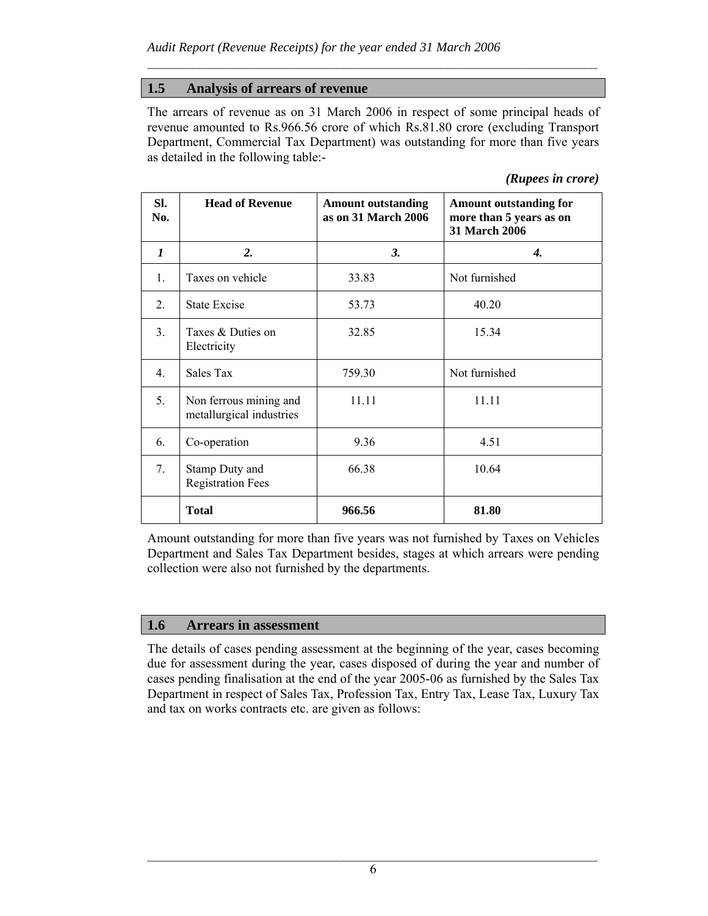# **1.5 Analysis of arrears of revenue**

The arrears of revenue as on 31 March 2006 in respect of some principal heads of revenue amounted to Rs.966.56 crore of which Rs.81.80 crore (excluding Transport Department, Commercial Tax Department) was outstanding for more than five years as detailed in the following table:-

 $\mathcal{L}_\text{max} = \frac{1}{2} \sum_{i=1}^n \mathcal{L}_\text{max}(\mathbf{x}_i - \mathbf{y}_i)$ 

| (Rupees in crore) |  |
|-------------------|--|
|                   |  |

| SI.<br>No.       | <b>Head of Revenue</b>                             | <b>Amount outstanding</b><br>as on 31 March 2006 | <b>Amount outstanding for</b><br>more than 5 years as on<br><b>31 March 2006</b> |
|------------------|----------------------------------------------------|--------------------------------------------------|----------------------------------------------------------------------------------|
| $\boldsymbol{l}$ | 2.                                                 | 3.                                               | $\boldsymbol{4}$ .                                                               |
| 1.               | Taxes on vehicle                                   | 33.83                                            | Not furnished                                                                    |
| 2.               | <b>State Excise</b>                                | 53.73                                            | 40.20                                                                            |
| 3 <sub>1</sub>   | Taxes & Duties on<br>Electricity                   | 32.85                                            | 15.34                                                                            |
| $4_{\cdot}$      | Sales Tax                                          | 759.30                                           | Not furnished                                                                    |
| 5.               | Non ferrous mining and<br>metallurgical industries | 11.11                                            | 11.11                                                                            |
| 6.               | Co-operation                                       | 9.36                                             | 4.51                                                                             |
| 7.               | Stamp Duty and<br><b>Registration Fees</b>         | 66.38                                            | 10.64                                                                            |
|                  | <b>Total</b>                                       | 966.56                                           | 81.80                                                                            |

Amount outstanding for more than five years was not furnished by Taxes on Vehicles Department and Sales Tax Department besides, stages at which arrears were pending collection were also not furnished by the departments.

## **1.6 Arrears in assessment**

The details of cases pending assessment at the beginning of the year, cases becoming due for assessment during the year, cases disposed of during the year and number of cases pending finalisation at the end of the year 2005-06 as furnished by the Sales Tax Department in respect of Sales Tax, Profession Tax, Entry Tax, Lease Tax, Luxury Tax and tax on works contracts etc. are given as follows: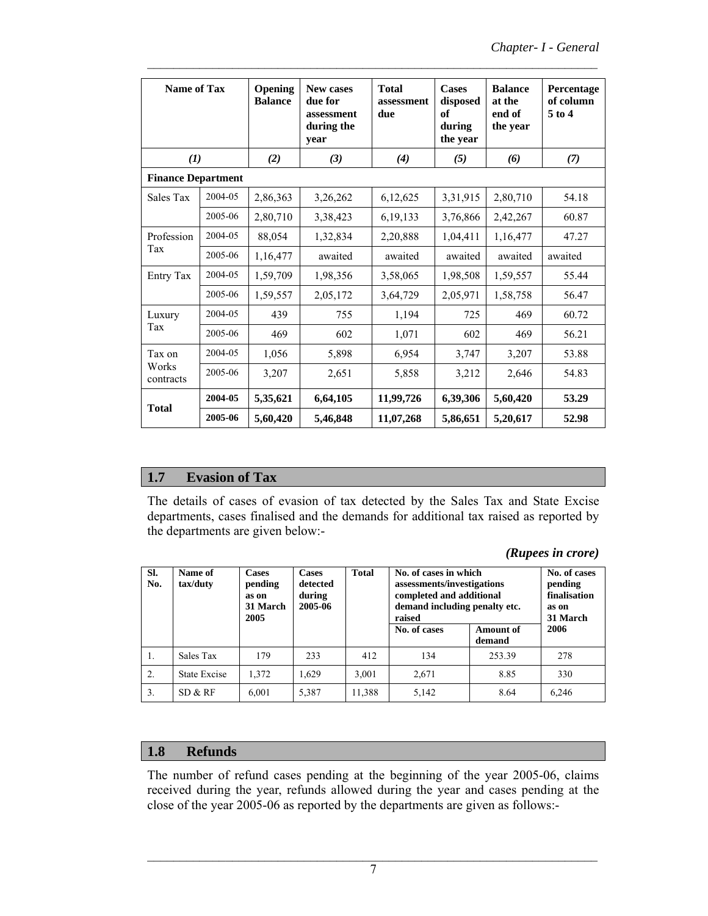| Name of Tax        |                           | Opening<br><b>Balance</b> | <b>New cases</b><br>due for<br>assessment<br>during the<br>year | <b>Total</b><br>assessment<br>due | <b>Cases</b><br>disposed<br>of<br>during<br>the year | <b>Balance</b><br>at the<br>end of<br>the year | Percentage<br>of column<br>$5$ to $4$ |  |  |  |
|--------------------|---------------------------|---------------------------|-----------------------------------------------------------------|-----------------------------------|------------------------------------------------------|------------------------------------------------|---------------------------------------|--|--|--|
| (1)                |                           | (2)                       | (3)                                                             | (4)                               | (5)                                                  | (6)                                            | (7)                                   |  |  |  |
|                    | <b>Finance Department</b> |                           |                                                                 |                                   |                                                      |                                                |                                       |  |  |  |
| Sales Tax          | 2004-05                   | 2,86,363                  | 3,26,262                                                        | 6,12,625                          | 3,31,915                                             | 2,80,710                                       | 54.18                                 |  |  |  |
|                    | 2005-06                   | 2,80,710                  | 3,38,423                                                        | 6, 19, 133                        | 3,76,866                                             | 2,42,267                                       | 60.87                                 |  |  |  |
| Profession         | 2004-05                   | 88,054                    | 1,32,834                                                        | 2,20,888                          | 1,04,411                                             | 1,16,477                                       | 47.27                                 |  |  |  |
| Tax                | 2005-06                   | 1,16,477                  | awaited                                                         | awaited                           | awaited                                              | awaited                                        | awaited                               |  |  |  |
| Entry Tax          | 2004-05                   | 1,59,709                  | 1,98,356                                                        | 3,58,065                          | 1,98,508                                             | 1,59,557                                       | 55.44                                 |  |  |  |
|                    | 2005-06                   | 1,59,557                  | 2,05,172                                                        | 3,64,729                          | 2,05,971                                             | 1,58,758                                       | 56.47                                 |  |  |  |
| Luxury             | 2004-05                   | 439                       | 755                                                             | 1,194                             | 725                                                  | 469                                            | 60.72                                 |  |  |  |
| Tax                | 2005-06                   | 469                       | 602                                                             | 1,071                             | 602                                                  | 469                                            | 56.21                                 |  |  |  |
| Tax on             | 2004-05                   | 1,056                     | 5,898                                                           | 6,954                             | 3,747                                                | 3,207                                          | 53.88                                 |  |  |  |
| Works<br>contracts | 2005-06                   | 3,207                     | 2,651                                                           | 5,858                             | 3,212                                                | 2,646                                          | 54.83                                 |  |  |  |
|                    | 2004-05                   | 5,35,621                  | 6,64,105                                                        | 11,99,726                         | 6,39,306                                             | 5,60,420                                       | 53.29                                 |  |  |  |
| <b>Total</b>       | 2005-06                   | 5,60,420                  | 5,46,848                                                        | 11,07,268                         | 5,86,651                                             | 5,20,617                                       | 52.98                                 |  |  |  |

 $\mathcal{L}_\text{max} = \frac{1}{2} \sum_{i=1}^n \mathcal{L}_\text{max}(\mathbf{x}_i - \mathbf{y}_i)$ 

## **1.7 Evasion of Tax**

The details of cases of evasion of tax detected by the Sales Tax and State Excise departments, cases finalised and the demands for additional tax raised as reported by the departments are given below:-

 *(Rupees in crore)* 

| SI.<br>No. | Name of<br>tax/duty | <b>Cases</b><br>pending<br>as on<br>31 March<br>2005 | <b>Cases</b><br>detected<br>during<br>2005-06 | <b>Total</b> | No. of cases in which<br>assessments/investigations<br>completed and additional<br>demand including penalty etc.<br>raised |                            | No. of cases<br>pending<br>finalisation<br>as on<br>31 March |
|------------|---------------------|------------------------------------------------------|-----------------------------------------------|--------------|----------------------------------------------------------------------------------------------------------------------------|----------------------------|--------------------------------------------------------------|
|            |                     |                                                      |                                               |              | No. of cases                                                                                                               | <b>Amount of</b><br>demand | 2006                                                         |
| -1.        | Sales Tax           | 179                                                  | 233                                           | 412          | 134                                                                                                                        | 253.39                     | 278                                                          |
| 2.         | State Excise        | 1.372                                                | 1.629                                         | 3,001        | 2,671                                                                                                                      | 8.85                       | 330                                                          |
| 3.         | SD & RF             | 6,001                                                | 5,387                                         | 11,388       | 5,142                                                                                                                      | 8.64                       | 6,246                                                        |

# **1.8 Refunds**

The number of refund cases pending at the beginning of the year 2005-06, claims received during the year, refunds allowed during the year and cases pending at the close of the year 2005-06 as reported by the departments are given as follows:-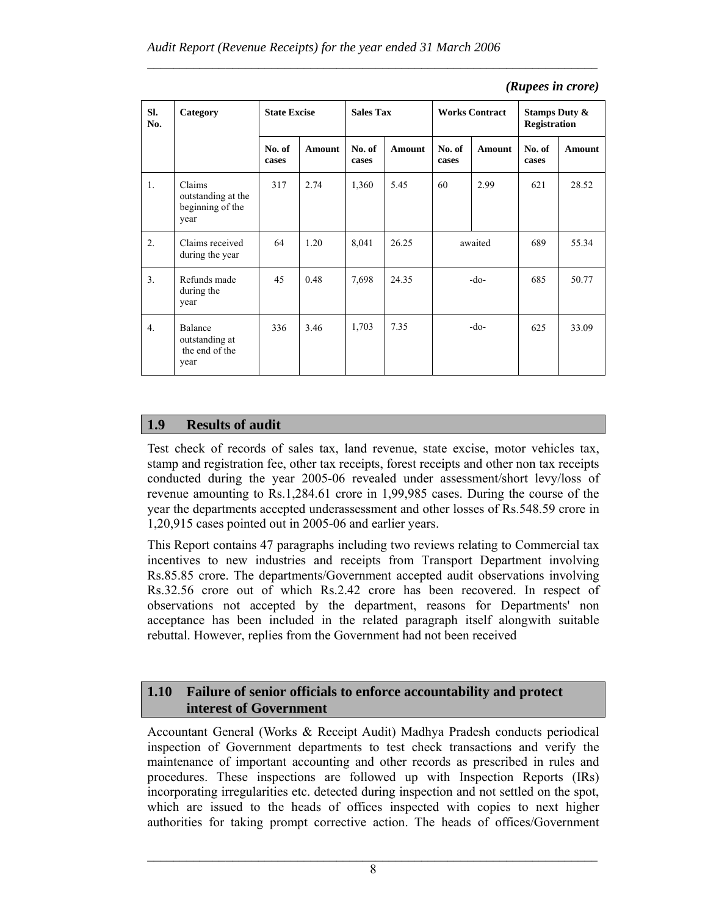| (Rupees in crore) |  |
|-------------------|--|
|                   |  |

| SI.<br>No.       | Category                                                 | <b>State Excise</b> |        | <b>Sales Tax</b> |        | <b>Works Contract</b> |               | <b>Stamps Duty &amp;</b><br><b>Registration</b> |        |
|------------------|----------------------------------------------------------|---------------------|--------|------------------|--------|-----------------------|---------------|-------------------------------------------------|--------|
|                  |                                                          | No. of<br>cases     | Amount | No. of<br>cases  | Amount | No. of<br>cases       | <b>Amount</b> | No. of<br>cases                                 | Amount |
| 1.               | Claims<br>outstanding at the<br>beginning of the<br>year | 317                 | 2.74   | 1,360            | 5.45   | 60                    | 2.99          | 621                                             | 28.52  |
| $\overline{2}$ . | Claims received<br>during the year                       | 64                  | 1.20   | 8,041            | 26.25  | awaited               |               | 689                                             | 55.34  |
| 3 <sub>1</sub>   | Refunds made<br>during the<br>year                       | 45                  | 0.48   | 7,698            | 24.35  | -do-                  |               | 685                                             | 50.77  |
| 4 <sub>1</sub>   | Balance<br>outstanding at<br>the end of the<br>year      | 336                 | 3.46   | 1,703            | 7.35   | $-do-$                |               | 625                                             | 33.09  |

 $\mathcal{L}_\text{max} = \frac{1}{2} \sum_{i=1}^n \mathcal{L}_\text{max}(\mathbf{x}_i - \mathbf{y}_i)$ 

## **1.9 Results of audit**

Test check of records of sales tax, land revenue, state excise, motor vehicles tax, stamp and registration fee, other tax receipts, forest receipts and other non tax receipts conducted during the year 2005-06 revealed under assessment/short levy/loss of revenue amounting to Rs.1,284.61 crore in 1,99,985 cases. During the course of the year the departments accepted underassessment and other losses of Rs.548.59 crore in 1,20,915 cases pointed out in 2005-06 and earlier years.

This Report contains 47 paragraphs including two reviews relating to Commercial tax incentives to new industries and receipts from Transport Department involving Rs.85.85 crore. The departments/Government accepted audit observations involving Rs.32.56 crore out of which Rs.2.42 crore has been recovered. In respect of observations not accepted by the department, reasons for Departments' non acceptance has been included in the related paragraph itself alongwith suitable rebuttal. However, replies from the Government had not been received

## **1.10 Failure of senior officials to enforce accountability and protect interest of Government**

Accountant General (Works & Receipt Audit) Madhya Pradesh conducts periodical inspection of Government departments to test check transactions and verify the maintenance of important accounting and other records as prescribed in rules and procedures. These inspections are followed up with Inspection Reports (IRs) incorporating irregularities etc. detected during inspection and not settled on the spot, which are issued to the heads of offices inspected with copies to next higher authorities for taking prompt corrective action. The heads of offices/Government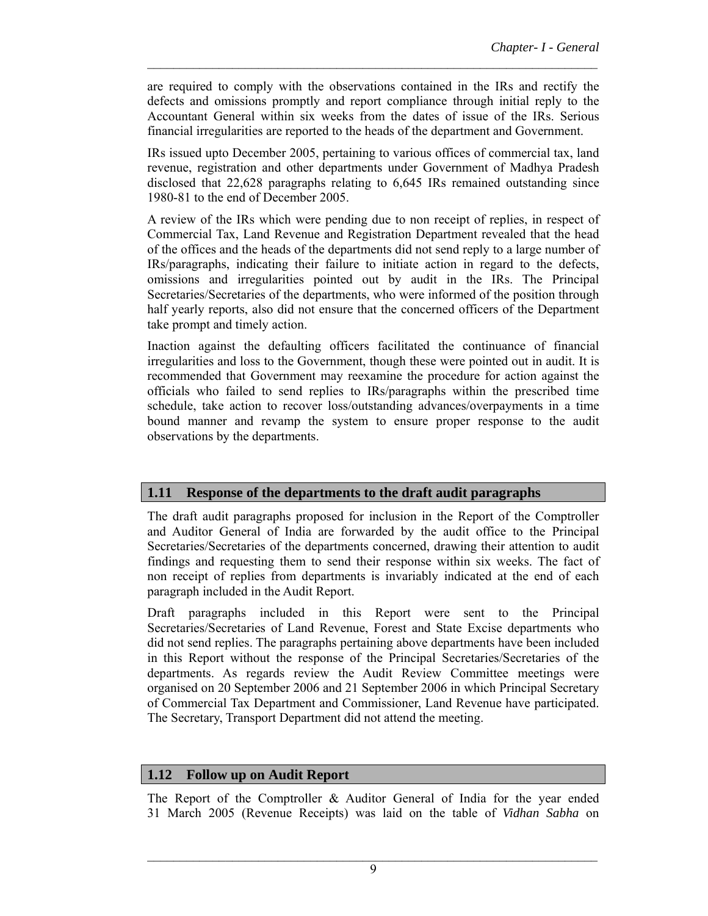are required to comply with the observations contained in the IRs and rectify the defects and omissions promptly and report compliance through initial reply to the Accountant General within six weeks from the dates of issue of the IRs. Serious financial irregularities are reported to the heads of the department and Government.

 $\mathcal{L}_\text{max} = \frac{1}{2} \sum_{i=1}^n \mathcal{L}_\text{max}(\mathbf{x}_i - \mathbf{y}_i)$ 

IRs issued upto December 2005, pertaining to various offices of commercial tax, land revenue, registration and other departments under Government of Madhya Pradesh disclosed that 22,628 paragraphs relating to 6,645 IRs remained outstanding since 1980-81 to the end of December 2005.

A review of the IRs which were pending due to non receipt of replies, in respect of Commercial Tax, Land Revenue and Registration Department revealed that the head of the offices and the heads of the departments did not send reply to a large number of IRs/paragraphs, indicating their failure to initiate action in regard to the defects, omissions and irregularities pointed out by audit in the IRs. The Principal Secretaries/Secretaries of the departments, who were informed of the position through half yearly reports, also did not ensure that the concerned officers of the Department take prompt and timely action.

Inaction against the defaulting officers facilitated the continuance of financial irregularities and loss to the Government, though these were pointed out in audit. It is recommended that Government may reexamine the procedure for action against the officials who failed to send replies to IRs/paragraphs within the prescribed time schedule, take action to recover loss/outstanding advances/overpayments in a time bound manner and revamp the system to ensure proper response to the audit observations by the departments.

#### **1.11 Response of the departments to the draft audit paragraphs**

The draft audit paragraphs proposed for inclusion in the Report of the Comptroller and Auditor General of India are forwarded by the audit office to the Principal Secretaries/Secretaries of the departments concerned, drawing their attention to audit findings and requesting them to send their response within six weeks. The fact of non receipt of replies from departments is invariably indicated at the end of each paragraph included in the Audit Report.

Draft paragraphs included in this Report were sent to the Principal Secretaries/Secretaries of Land Revenue, Forest and State Excise departments who did not send replies. The paragraphs pertaining above departments have been included in this Report without the response of the Principal Secretaries/Secretaries of the departments. As regards review the Audit Review Committee meetings were organised on 20 September 2006 and 21 September 2006 in which Principal Secretary of Commercial Tax Department and Commissioner, Land Revenue have participated. The Secretary, Transport Department did not attend the meeting.

#### **1.12 Follow up on Audit Report**

The Report of the Comptroller & Auditor General of India for the year ended 31 March 2005 (Revenue Receipts) was laid on the table of *Vidhan Sabha* on